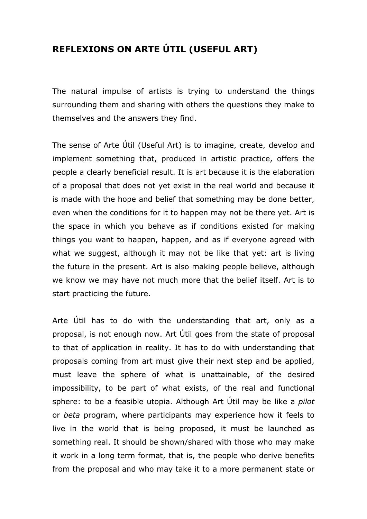## **REFLEXIONS ON ARTE ÚTIL (USEFUL ART)**

The natural impulse of artists is trying to understand the things surrounding them and sharing with others the questions they make to themselves and the answers they find.

The sense of Arte Útil (Useful Art) is to imagine, create, develop and implement something that, produced in artistic practice, offers the people a clearly beneficial result. It is art because it is the elaboration of a proposal that does not yet exist in the real world and because it is made with the hope and belief that something may be done better, even when the conditions for it to happen may not be there yet. Art is the space in which you behave as if conditions existed for making things you want to happen, happen, and as if everyone agreed with what we suggest, although it may not be like that yet: art is living the future in the present. Art is also making people believe, although we know we may have not much more that the belief itself. Art is to start practicing the future.

Arte Útil has to do with the understanding that art, only as a proposal, is not enough now. Art Útil goes from the state of proposal to that of application in reality. It has to do with understanding that proposals coming from art must give their next step and be applied, must leave the sphere of what is unattainable, of the desired impossibility, to be part of what exists, of the real and functional sphere: to be a feasible utopia. Although Art Útil may be like a *pilot* or *beta* program, where participants may experience how it feels to live in the world that is being proposed, it must be launched as something real. It should be shown/shared with those who may make it work in a long term format, that is, the people who derive benefits from the proposal and who may take it to a more permanent state or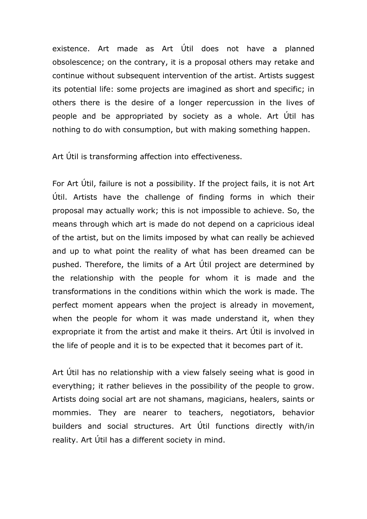existence. Art made as Art Útil does not have a planned obsolescence; on the contrary, it is a proposal others may retake and continue without subsequent intervention of the artist. Artists suggest its potential life: some projects are imagined as short and specific; in others there is the desire of a longer repercussion in the lives of people and be appropriated by society as a whole. Art Útil has nothing to do with consumption, but with making something happen.

Art Útil is transforming affection into effectiveness.

For Art Útil, failure is not a possibility. If the project fails, it is not Art Útil. Artists have the challenge of finding forms in which their proposal may actually work; this is not impossible to achieve. So, the means through which art is made do not depend on a capricious ideal of the artist, but on the limits imposed by what can really be achieved and up to what point the reality of what has been dreamed can be pushed. Therefore, the limits of a Art Útil project are determined by the relationship with the people for whom it is made and the transformations in the conditions within which the work is made. The perfect moment appears when the project is already in movement, when the people for whom it was made understand it, when they expropriate it from the artist and make it theirs. Art Útil is involved in the life of people and it is to be expected that it becomes part of it.

Art Útil has no relationship with a view falsely seeing what is good in everything; it rather believes in the possibility of the people to grow. Artists doing social art are not shamans, magicians, healers, saints or mommies. They are nearer to teachers, negotiators, behavior builders and social structures. Art Útil functions directly with/in reality. Art Útil has a different society in mind.